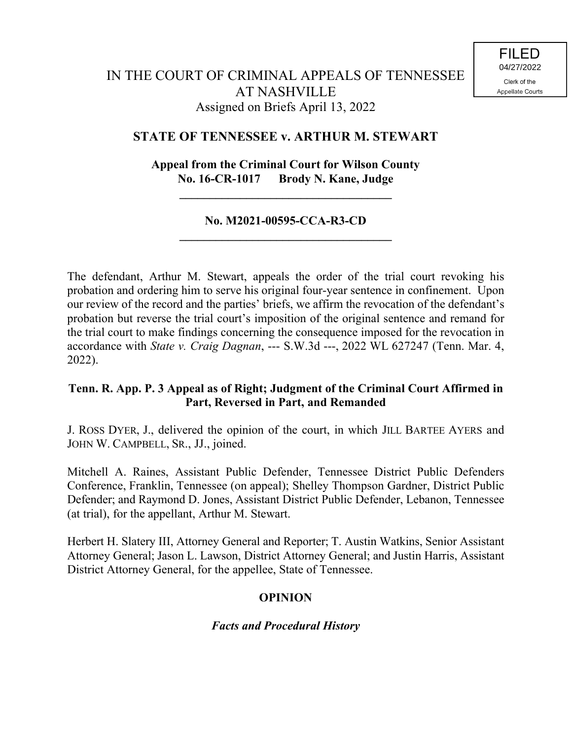## **STATE OF TENNESSEE v. ARTHUR M. STEWART**

# **Appeal from the Criminal Court for Wilson County No. 16-CR-1017 Brody N. Kane, Judge**

**\_\_\_\_\_\_\_\_\_\_\_\_\_\_\_\_\_\_\_\_\_\_\_\_\_\_\_\_\_\_\_\_\_\_\_**

#### **No. M2021-00595-CCA-R3-CD \_\_\_\_\_\_\_\_\_\_\_\_\_\_\_\_\_\_\_\_\_\_\_\_\_\_\_\_\_\_\_\_\_\_\_**

The defendant, Arthur M. Stewart, appeals the order of the trial court revoking his probation and ordering him to serve his original four-year sentence in confinement. Upon our review of the record and the parties' briefs, we affirm the revocation of the defendant's probation but reverse the trial court's imposition of the original sentence and remand for the trial court to make findings concerning the consequence imposed for the revocation in accordance with *State v. Craig Dagnan*, --- S.W.3d ---, 2022 WL 627247 (Tenn. Mar. 4, 2022).

## **Tenn. R. App. P. 3 Appeal as of Right; Judgment of the Criminal Court Affirmed in Part, Reversed in Part, and Remanded**

J. ROSS DYER, J., delivered the opinion of the court, in which JILL BARTEE AYERS and JOHN W. CAMPBELL, SR., JJ., joined.

Mitchell A. Raines, Assistant Public Defender, Tennessee District Public Defenders Conference, Franklin, Tennessee (on appeal); Shelley Thompson Gardner, District Public Defender; and Raymond D. Jones, Assistant District Public Defender, Lebanon, Tennessee (at trial), for the appellant, Arthur M. Stewart.

Herbert H. Slatery III, Attorney General and Reporter; T. Austin Watkins, Senior Assistant Attorney General; Jason L. Lawson, District Attorney General; and Justin Harris, Assistant District Attorney General, for the appellee, State of Tennessee.

## **OPINION**

## *Facts and Procedural History*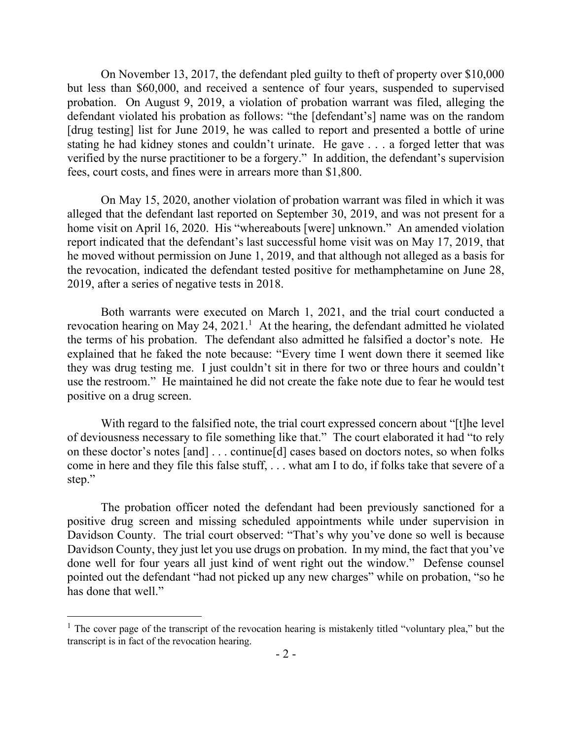On November 13, 2017, the defendant pled guilty to theft of property over \$10,000 but less than \$60,000, and received a sentence of four years, suspended to supervised probation. On August 9, 2019, a violation of probation warrant was filed, alleging the defendant violated his probation as follows: "the [defendant's] name was on the random [drug testing] list for June 2019, he was called to report and presented a bottle of urine stating he had kidney stones and couldn't urinate. He gave . . . a forged letter that was verified by the nurse practitioner to be a forgery." In addition, the defendant's supervision fees, court costs, and fines were in arrears more than \$1,800.

On May 15, 2020, another violation of probation warrant was filed in which it was alleged that the defendant last reported on September 30, 2019, and was not present for a home visit on April 16, 2020. His "whereabouts [were] unknown." An amended violation report indicated that the defendant's last successful home visit was on May 17, 2019, that he moved without permission on June 1, 2019, and that although not alleged as a basis for the revocation, indicated the defendant tested positive for methamphetamine on June 28, 2019, after a series of negative tests in 2018.

Both warrants were executed on March 1, 2021, and the trial court conducted a revocation hearing on May 24,  $2021<sup>1</sup>$  At the hearing, the defendant admitted he violated the terms of his probation. The defendant also admitted he falsified a doctor's note. He explained that he faked the note because: "Every time I went down there it seemed like they was drug testing me. I just couldn't sit in there for two or three hours and couldn't use the restroom." He maintained he did not create the fake note due to fear he would test positive on a drug screen.

With regard to the falsified note, the trial court expressed concern about "[t]he level of deviousness necessary to file something like that." The court elaborated it had "to rely on these doctor's notes [and] . . . continue[d] cases based on doctors notes, so when folks come in here and they file this false stuff, . . . what am I to do, if folks take that severe of a step."

The probation officer noted the defendant had been previously sanctioned for a positive drug screen and missing scheduled appointments while under supervision in Davidson County. The trial court observed: "That's why you've done so well is because Davidson County, they just let you use drugs on probation. In my mind, the fact that you've done well for four years all just kind of went right out the window." Defense counsel pointed out the defendant "had not picked up any new charges" while on probation, "so he has done that well."

 $\overline{a}$ 

<sup>&</sup>lt;sup>1</sup> The cover page of the transcript of the revocation hearing is mistakenly titled "voluntary plea," but the transcript is in fact of the revocation hearing.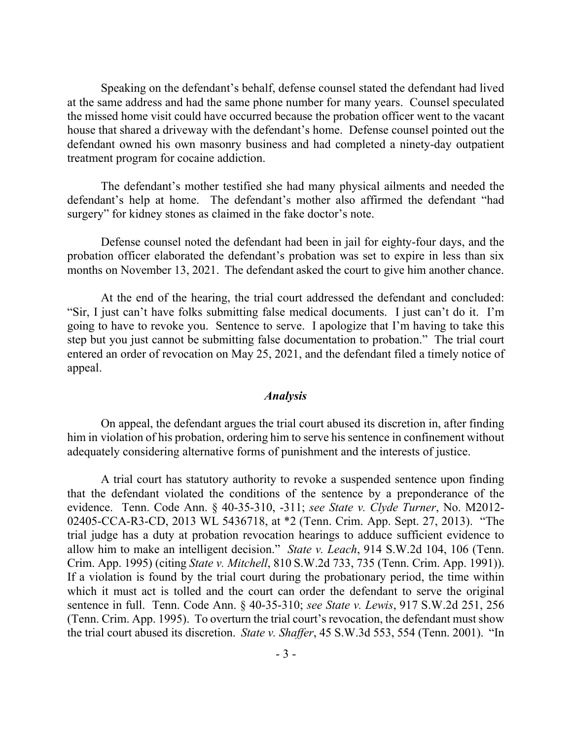Speaking on the defendant's behalf, defense counsel stated the defendant had lived at the same address and had the same phone number for many years. Counsel speculated the missed home visit could have occurred because the probation officer went to the vacant house that shared a driveway with the defendant's home. Defense counsel pointed out the defendant owned his own masonry business and had completed a ninety-day outpatient treatment program for cocaine addiction.

The defendant's mother testified she had many physical ailments and needed the defendant's help at home. The defendant's mother also affirmed the defendant "had surgery" for kidney stones as claimed in the fake doctor's note.

Defense counsel noted the defendant had been in jail for eighty-four days, and the probation officer elaborated the defendant's probation was set to expire in less than six months on November 13, 2021. The defendant asked the court to give him another chance.

At the end of the hearing, the trial court addressed the defendant and concluded: "Sir, I just can't have folks submitting false medical documents. I just can't do it. I'm going to have to revoke you. Sentence to serve. I apologize that I'm having to take this step but you just cannot be submitting false documentation to probation." The trial court entered an order of revocation on May 25, 2021, and the defendant filed a timely notice of appeal.

#### *Analysis*

On appeal, the defendant argues the trial court abused its discretion in, after finding him in violation of his probation, ordering him to serve his sentence in confinement without adequately considering alternative forms of punishment and the interests of justice.

A trial court has statutory authority to revoke a suspended sentence upon finding that the defendant violated the conditions of the sentence by a preponderance of the evidence. Tenn. Code Ann. § 40-35-310, -311; *see State v. Clyde Turner*, No. M2012- 02405-CCA-R3-CD, 2013 WL 5436718, at \*2 (Tenn. Crim. App. Sept. 27, 2013). "The trial judge has a duty at probation revocation hearings to adduce sufficient evidence to allow him to make an intelligent decision." *State v. Leach*, 914 S.W.2d 104, 106 (Tenn. Crim. App. 1995) (citing *State v. Mitchell*, 810 S.W.2d 733, 735 (Tenn. Crim. App. 1991)). If a violation is found by the trial court during the probationary period, the time within which it must act is tolled and the court can order the defendant to serve the original sentence in full. Tenn. Code Ann. § 40-35-310; *see State v. Lewis*, 917 S.W.2d 251, 256 (Tenn. Crim. App. 1995). To overturn the trial court's revocation, the defendant must show the trial court abused its discretion. *State v. Shaffer*, 45 S.W.3d 553, 554 (Tenn. 2001). "In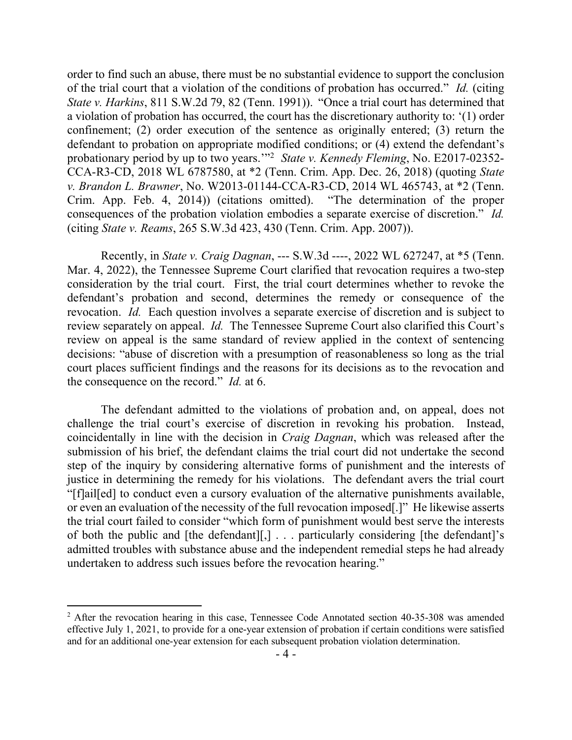order to find such an abuse, there must be no substantial evidence to support the conclusion of the trial court that a violation of the conditions of probation has occurred." *Id.* (citing *State v. Harkins*, 811 S.W.2d 79, 82 (Tenn. 1991)). "Once a trial court has determined that a violation of probation has occurred, the court has the discretionary authority to: '(1) order confinement; (2) order execution of the sentence as originally entered; (3) return the defendant to probation on appropriate modified conditions; or (4) extend the defendant's probationary period by up to two years.'"<sup>2</sup> *State v. Kennedy Fleming*, No. E2017-02352- CCA-R3-CD, 2018 WL 6787580, at \*2 (Tenn. Crim. App. Dec. 26, 2018) (quoting *State v. Brandon L. Brawner*, No. W2013-01144-CCA-R3-CD, 2014 WL 465743, at \*2 (Tenn. Crim. App. Feb. 4, 2014)) (citations omitted). "The determination of the proper consequences of the probation violation embodies a separate exercise of discretion." *Id.* (citing *State v. Reams*, 265 S.W.3d 423, 430 (Tenn. Crim. App. 2007)).

Recently, in *State v. Craig Dagnan*, --- S.W.3d ----, 2022 WL 627247, at \*5 (Tenn. Mar. 4, 2022), the Tennessee Supreme Court clarified that revocation requires a two-step consideration by the trial court. First, the trial court determines whether to revoke the defendant's probation and second, determines the remedy or consequence of the revocation. *Id.* Each question involves a separate exercise of discretion and is subject to review separately on appeal. *Id.* The Tennessee Supreme Court also clarified this Court's review on appeal is the same standard of review applied in the context of sentencing decisions: "abuse of discretion with a presumption of reasonableness so long as the trial court places sufficient findings and the reasons for its decisions as to the revocation and the consequence on the record." *Id.* at 6.

The defendant admitted to the violations of probation and, on appeal, does not challenge the trial court's exercise of discretion in revoking his probation. Instead, coincidentally in line with the decision in *Craig Dagnan*, which was released after the submission of his brief, the defendant claims the trial court did not undertake the second step of the inquiry by considering alternative forms of punishment and the interests of justice in determining the remedy for his violations. The defendant avers the trial court "[f]ail[ed] to conduct even a cursory evaluation of the alternative punishments available, or even an evaluation of the necessity of the full revocation imposed[.]" He likewise asserts the trial court failed to consider "which form of punishment would best serve the interests of both the public and [the defendant][,] . . . particularly considering [the defendant]'s admitted troubles with substance abuse and the independent remedial steps he had already undertaken to address such issues before the revocation hearing."

 $\overline{a}$ 

<sup>&</sup>lt;sup>2</sup> After the revocation hearing in this case, Tennessee Code Annotated section 40-35-308 was amended effective July 1, 2021, to provide for a one-year extension of probation if certain conditions were satisfied and for an additional one-year extension for each subsequent probation violation determination.